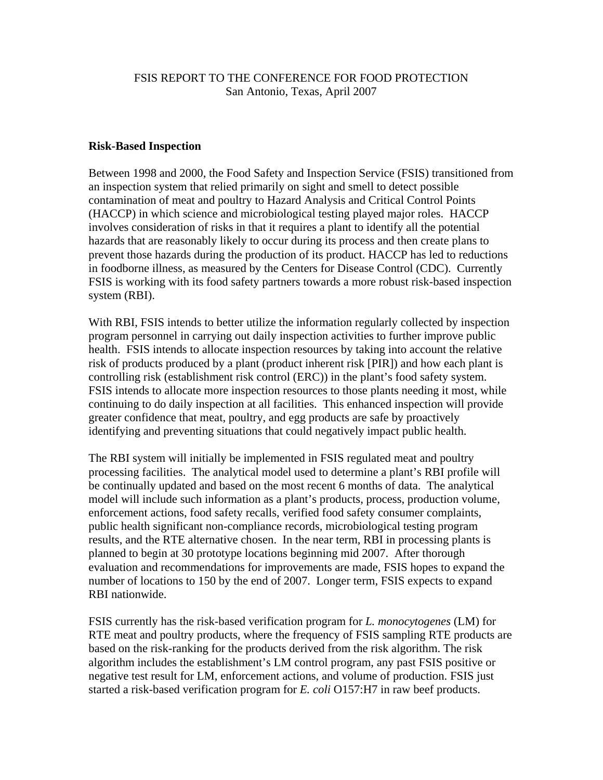## FSIS REPORT TO THE CONFERENCE FOR FOOD PROTECTION San Antonio, Texas, April 2007

## **Risk-Based Inspection**

Between 1998 and 2000, the Food Safety and Inspection Service (FSIS) transitioned from an inspection system that relied primarily on sight and smell to detect possible contamination of meat and poultry to Hazard Analysis and Critical Control Points (HACCP) in which science and microbiological testing played major roles. HACCP involves consideration of risks in that it requires a plant to identify all the potential hazards that are reasonably likely to occur during its process and then create plans to prevent those hazards during the production of its product. HACCP has led to reductions in foodborne illness, as measured by the Centers for Disease Control (CDC). Currently FSIS is working with its food safety partners towards a more robust risk-based inspection system (RBI).

With RBI, FSIS intends to better utilize the information regularly collected by inspection program personnel in carrying out daily inspection activities to further improve public health. FSIS intends to allocate inspection resources by taking into account the relative risk of products produced by a plant (product inherent risk [PIR]) and how each plant is controlling risk (establishment risk control (ERC)) in the plant's food safety system. FSIS intends to allocate more inspection resources to those plants needing it most, while continuing to do daily inspection at all facilities. This enhanced inspection will provide greater confidence that meat, poultry, and egg products are safe by proactively identifying and preventing situations that could negatively impact public health.

The RBI system will initially be implemented in FSIS regulated meat and poultry processing facilities. The analytical model used to determine a plant's RBI profile will be continually updated and based on the most recent 6 months of data. The analytical model will include such information as a plant's products, process, production volume, enforcement actions, food safety recalls, verified food safety consumer complaints, public health significant non-compliance records, microbiological testing program results, and the RTE alternative chosen. In the near term, RBI in processing plants is planned to begin at 30 prototype locations beginning mid 2007. After thorough evaluation and recommendations for improvements are made, FSIS hopes to expand the number of locations to 150 by the end of 2007. Longer term, FSIS expects to expand RBI nationwide.

FSIS currently has the risk-based verification program for *L. monocytogenes* (LM) for RTE meat and poultry products, where the frequency of FSIS sampling RTE products are based on the risk-ranking for the products derived from the risk algorithm. The risk algorithm includes the establishment's LM control program, any past FSIS positive or negative test result for LM, enforcement actions, and volume of production. FSIS just started a risk-based verification program for *E. coli* O157:H7 in raw beef products.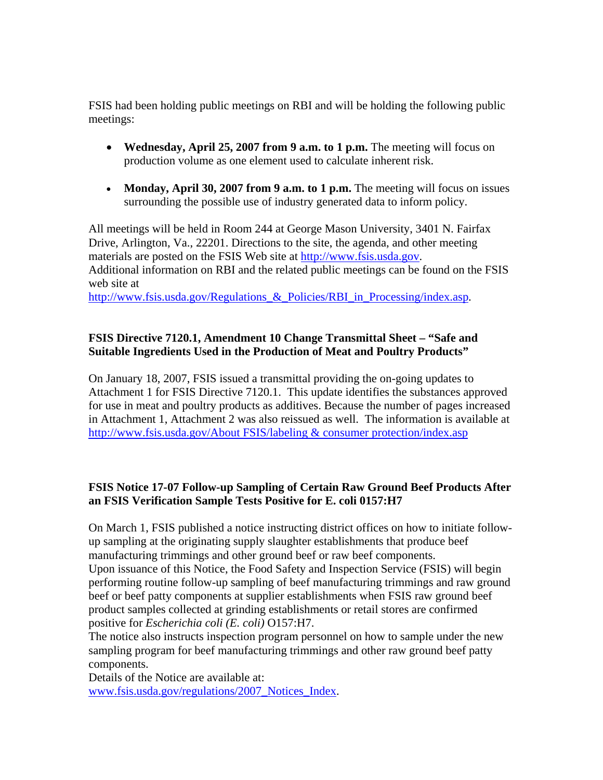FSIS had been holding public meetings on RBI and will be holding the following public meetings:

- **Wednesday, April 25, 2007 from 9 a.m. to 1 p.m.** The meeting will focus on production volume as one element used to calculate inherent risk.
- Monday, April 30, 2007 from 9 a.m. to 1 p.m. The meeting will focus on issues surrounding the possible use of industry generated data to inform policy.

All meetings will be held in Room 244 at George Mason University, 3401 N. Fairfax Drive, Arlington, Va., 22201. Directions to the site, the agenda, and other meeting materials are posted on the FSIS Web site at http://www.fsis.usda.gov. Additional information on RBI and the related public meetings can be found on the FSIS web site at

http://www.fsis.usda.gov/Regulations\_&\_Policies/RBI\_in\_Processing/index.asp.

## **FSIS Directive 7120.1, Amendment 10 Change Transmittal Sheet – "Safe and Suitable Ingredients Used in the Production of Meat and Poultry Products"**

On January 18, 2007, FSIS issued a transmittal providing the on-going updates to Attachment 1 for FSIS Directive 7120.1. This update identifies the substances approved for use in meat and poultry products as additives. Because the number of pages increased in Attachment 1, Attachment 2 was also reissued as well. The information is available at http://www.fsis.usda.gov/About FSIS/labeling & consumer protection/index.asp

## **FSIS Notice 17-07 Follow-up Sampling of Certain Raw Ground Beef Products After an FSIS Verification Sample Tests Positive for E. coli 0157:H7**

On March 1, FSIS published a notice instructing district offices on how to initiate followup sampling at the originating supply slaughter establishments that produce beef manufacturing trimmings and other ground beef or raw beef components.

Upon issuance of this Notice, the Food Safety and Inspection Service (FSIS) will begin performing routine follow-up sampling of beef manufacturing trimmings and raw ground beef or beef patty components at supplier establishments when FSIS raw ground beef product samples collected at grinding establishments or retail stores are confirmed positive for *Escherichia coli (E. coli)* O157:H7.

The notice also instructs inspection program personnel on how to sample under the new sampling program for beef manufacturing trimmings and other raw ground beef patty components.

Details of the Notice are available at:

www.fsis.usda.gov/regulations/2007\_Notices\_Index.